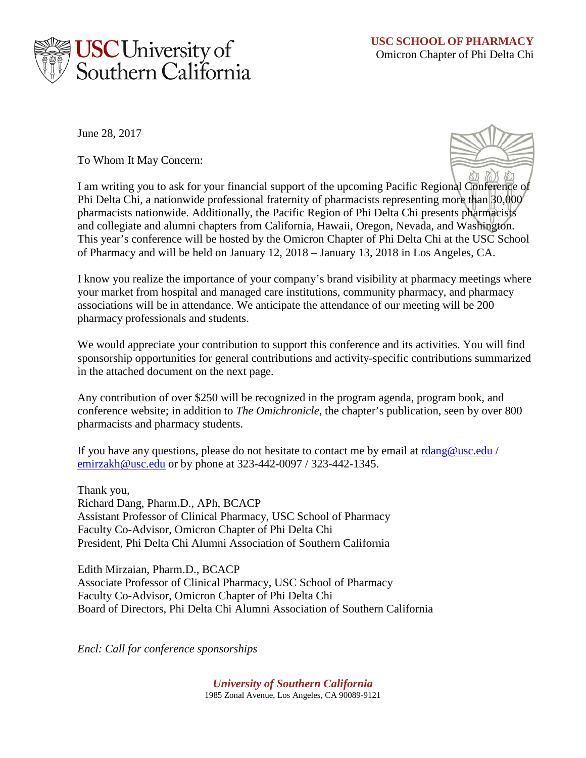

June 28, 2017

To Whom It May Concern:



I am writing you to ask for your financial support of the upcoming Pacific Regional Conference of Phi Delta Chi, a nationwide professional fraternity of pharmacists representing more than 30,000 pharmacists nationwide. Additionally, the Pacific Region of Phi Delta Chi presents pharmacists and collegiate and alumni chapters from California, Hawaii, Oregon, Nevada, and Washington. This year's conference will be hosted by the Omicron Chapter of Phi Delta Chi at the USC School of Pharmacy and will be held on January 12, 2018 – January 13, 2018 in Los Angeles, CA.

I know you realize the importance of your company's brand visibility at pharmacy meetings where your market from hospital and managed care institutions, community pharmacy, and pharmacy associations will be in attendance. We anticipate the attendance of our meeting will be 200 pharmacy professionals and students.

We would appreciate your contribution to support this conference and its activities. You will find sponsorship opportunities for general contributions and activity-specific contributions summarized in the attached document on the next page.

Any contribution of over \$250 will be recognized in the program agenda, program book, and conference website; in addition to *The Omichronicle*, the chapter's publication, seen by over 800 pharmacists and pharmacy students.

If you have any questions, please do not hesitate to contact me by email at  $rdang@usc.edu$  / emirzakh@usc.edu or by phone at 323-442-0097 / 323-442-1345.

Thank you, Richard Dang, Pharm.D., APh, BCACP Assistant Professor of Clinical Pharmacy, USC School of Pharmacy Faculty Co-Advisor, Omicron Chapter of Phi Delta Chi President, Phi Delta Chi Alumni Association of Southern California

Edith Mirzaian, Pharm.D., BCACP Associate Professor of Clinical Pharmacy, USC School of Pharmacy Faculty Co-Advisor, Omicron Chapter of Phi Delta Chi Board of Directors, Phi Delta Chi Alumni Association of Southern California

*Encl: Call for conference sponsorships*

*University of Southern California* 1985 Zonal Avenue, Los Angeles, CA 90089-9121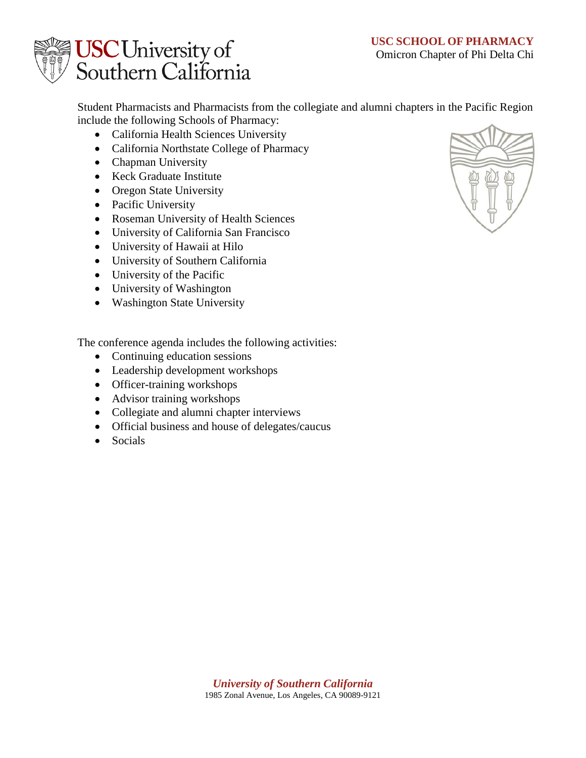

Student Pharmacists and Pharmacists from the collegiate and alumni chapters in the Pacific Region include the following Schools of Pharmacy:

- California Health Sciences University
- California Northstate College of Pharmacy
- Chapman University
- Keck Graduate Institute
- Oregon State University
- Pacific University
- Roseman University of Health Sciences
- University of California San Francisco
- University of Hawaii at Hilo
- University of Southern California
- University of the Pacific
- University of Washington
- Washington State University

The conference agenda includes the following activities:

- Continuing education sessions
- Leadership development workshops
- Officer-training workshops
- Advisor training workshops
- Collegiate and alumni chapter interviews
- Official business and house of delegates/caucus
- Socials

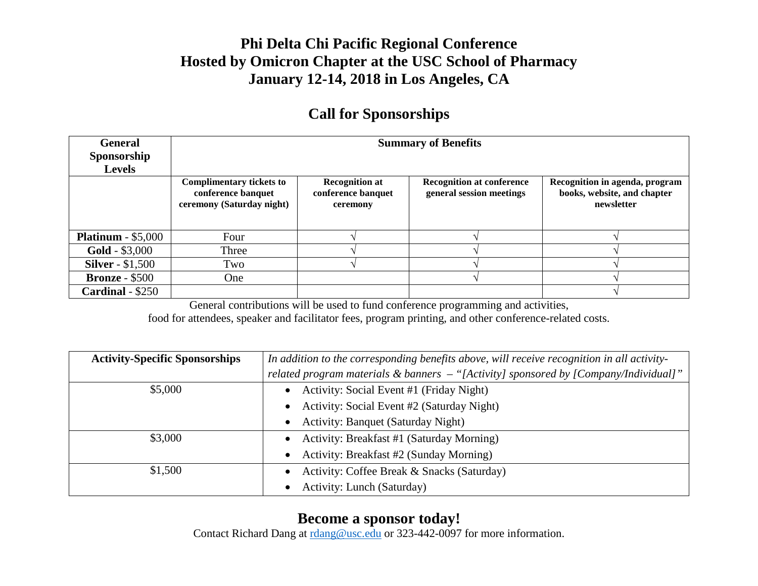## **Phi Delta Chi Pacific Regional Conference Hosted by Omicron Chapter at the USC School of Pharmacy January 12-14, 2018 in Los Angeles, CA**

## **Call for Sponsorships**

| <b>General</b><br>Sponsorship | <b>Summary of Benefits</b>                                                         |                                                         |                                                              |                                                                             |
|-------------------------------|------------------------------------------------------------------------------------|---------------------------------------------------------|--------------------------------------------------------------|-----------------------------------------------------------------------------|
| <b>Levels</b>                 |                                                                                    |                                                         |                                                              |                                                                             |
|                               | <b>Complimentary tickets to</b><br>conference banquet<br>ceremony (Saturday night) | <b>Recognition at</b><br>conference banquet<br>ceremony | <b>Recognition at conference</b><br>general session meetings | Recognition in agenda, program<br>books, website, and chapter<br>newsletter |
| <b>Platinum</b> - $$5,000$    | Four                                                                               |                                                         |                                                              |                                                                             |
| <b>Gold</b> - $$3,000$        | Three                                                                              |                                                         |                                                              |                                                                             |
| <b>Silver</b> - \$1,500       | Two                                                                                |                                                         |                                                              |                                                                             |
| <b>Bronze - \$500</b>         | One                                                                                |                                                         |                                                              |                                                                             |
| <b>Cardinal</b> - $$250$      |                                                                                    |                                                         |                                                              |                                                                             |

General contributions will be used to fund conference programming and activities,

food for attendees, speaker and facilitator fees, program printing, and other conference-related costs.

| <b>Activity-Specific Sponsorships</b> | In addition to the corresponding benefits above, will receive recognition in all activity- |  |
|---------------------------------------|--------------------------------------------------------------------------------------------|--|
|                                       | related program materials & banners - "[Activity] sponsored by [Company/Individual]"       |  |
| \$5,000                               | Activity: Social Event #1 (Friday Night)                                                   |  |
|                                       | Activity: Social Event #2 (Saturday Night)<br>$\bullet$                                    |  |
|                                       | <b>Activity: Banquet (Saturday Night)</b>                                                  |  |
| \$3,000                               | Activity: Breakfast #1 (Saturday Morning)<br>$\bullet$                                     |  |
|                                       | Activity: Breakfast #2 (Sunday Morning)<br>$\bullet$                                       |  |
| \$1,500                               | Activity: Coffee Break & Snacks (Saturday)                                                 |  |
|                                       | <b>Activity: Lunch (Saturday)</b>                                                          |  |

## **Become a sponsor today!**

Contact Richard Dang at rdang@usc.edu or 323-442-0097 for more information.